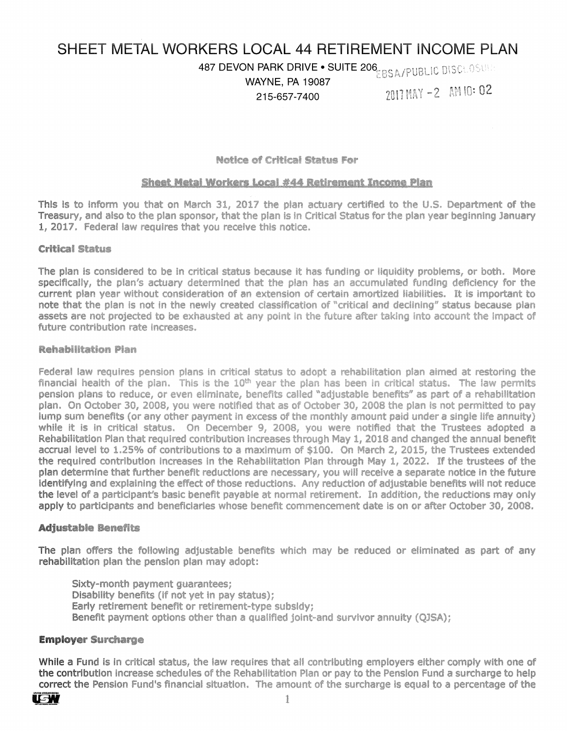# SHEET METAL WORKERS LOCAL 44 RETIREMENT INCOME PLAN

487 DEVON PARK DRIVE . SUITE 206 FBSA/PUBLIC DISCLOSULE

WAYNE, PA 19087

215-657-7400 2017 MAY -2 AM 10: 02

## Notice of Critical Status For

#### Sheet Metal Workers Local #44 Retirement Income Plan

This Is to inform you that on March 31, 2017 the plan actuary certified to the U.S. Department of the Treasury, and also to the plan sponsor, that the plan is in Critical Status for the plan year beginning January 1, 2017. Federal law requires that you receive this notice.

#### Critical Status

The plan is considered to be in critical status because it has funding or liquidity problems, or both. More specifically, the plan's actuary determined that the plan has an accumulated funding deficiency for the current plan year without consideration of an extension of certain amortized liabilities. It is important to note that the plan is not in the newly created classification of "critical and declining" status because plan assets are not projected to be exhausted at any point in the future after taking into account the impact of future contribution rate increases.

#### Rehabilitation Plan

Federal law requires pension plans in critical status to adopt a rehabilitation plan aimed at restoring the financial health of the plan. This is the  $10<sup>th</sup>$  year the plan has been in critical status. The law permits pension plans to reduce, or even eliminate, benefits called "adjustable benefits" as part of a rehabilitation plan. On October 30, 2008, you were notified that as of October 30, 2008 the plan is not permitted to pay lump sum benefits (or any other payment in excess of the monthly amount paid under a single life annuity) while it is in critical status. On December 9, 2008, you were notified that the Trustees adopted a Rehabilitation Plan that required contribution increases through May 1, 2018 and changed the annual benefit accrual level to 1.25% of contributions to a maximum of \$100. On March 2, 2015, the Trustees extended the required contribution increases in the Rehabllltation Plan through May 1, 2022. If the trustees of the plan determine that further benefit reductions are necessary, you will receive a separate notice in the future identifying and explaining the effect of those reductions. Any reduction of adjustable benefits will not reduce the level of a participant's basic benefit payable at normal retirement. In addition, the reductions may only apply to participants and beneficiaries whose benefit commencement date ls on or after October 30, 2008.

## Adjustable Benefits

The plan offers the following adjustable benefits which may be reduced or eliminated as part of any rehabilitation plan the pension plan may adopt:

Sixty-month payment guarantees; Disability benefits (if not yet in pay status); Early retirement benefit or retirement-type subsidy; Benefit payment options other than a qualified joint-and survivor annuity {QJSA);

## Employer surcharge

While a Fund is in critical status, the law requires that all contributing employers either comply with one of the contribution increase schedules of the Rehabilitation Plan or pay to the Pension Fund a surcharge to help correct the Pension Fund's financial situation. The amount of the surcharge is equal to a percentage of the  $\sqrt{2M}$